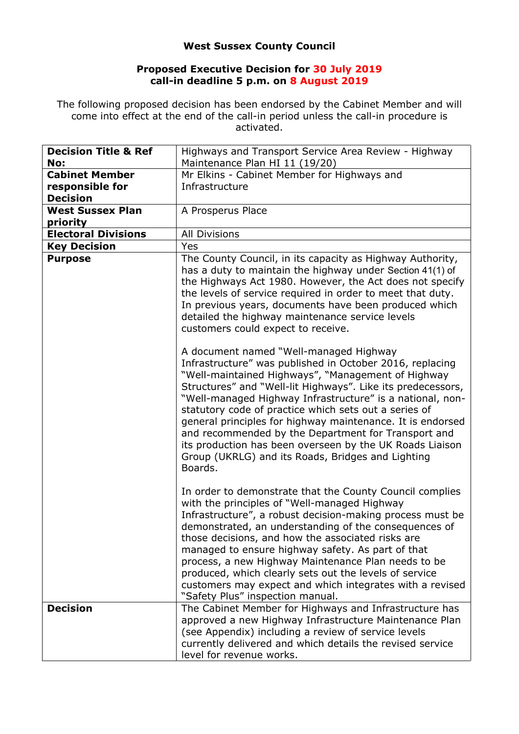## **West Sussex County Council**

## **Proposed Executive Decision for 30 July 2019 call-in deadline 5 p.m. on 8 August 2019**

The following proposed decision has been endorsed by the Cabinet Member and will come into effect at the end of the call-in period unless the call-in procedure is activated.

| <b>Decision Title &amp; Ref</b><br>No:                      | Highways and Transport Service Area Review - Highway<br>Maintenance Plan HI 11 (19/20)                                                                                                                                                                                                                                                                                                                                                                                                                                                                                                                                                                                                                                                                                                                                                                                                                                                                                                               |
|-------------------------------------------------------------|------------------------------------------------------------------------------------------------------------------------------------------------------------------------------------------------------------------------------------------------------------------------------------------------------------------------------------------------------------------------------------------------------------------------------------------------------------------------------------------------------------------------------------------------------------------------------------------------------------------------------------------------------------------------------------------------------------------------------------------------------------------------------------------------------------------------------------------------------------------------------------------------------------------------------------------------------------------------------------------------------|
| <b>Cabinet Member</b><br>responsible for<br><b>Decision</b> | Mr Elkins - Cabinet Member for Highways and<br>Infrastructure                                                                                                                                                                                                                                                                                                                                                                                                                                                                                                                                                                                                                                                                                                                                                                                                                                                                                                                                        |
| <b>West Sussex Plan</b><br>priority                         | A Prosperus Place                                                                                                                                                                                                                                                                                                                                                                                                                                                                                                                                                                                                                                                                                                                                                                                                                                                                                                                                                                                    |
| <b>Electoral Divisions</b>                                  | <b>All Divisions</b>                                                                                                                                                                                                                                                                                                                                                                                                                                                                                                                                                                                                                                                                                                                                                                                                                                                                                                                                                                                 |
| <b>Key Decision</b>                                         | Yes                                                                                                                                                                                                                                                                                                                                                                                                                                                                                                                                                                                                                                                                                                                                                                                                                                                                                                                                                                                                  |
| <b>Purpose</b>                                              | The County Council, in its capacity as Highway Authority,<br>has a duty to maintain the highway under Section 41(1) of<br>the Highways Act 1980. However, the Act does not specify<br>the levels of service required in order to meet that duty.<br>In previous years, documents have been produced which<br>detailed the highway maintenance service levels<br>customers could expect to receive.<br>A document named "Well-managed Highway<br>Infrastructure" was published in October 2016, replacing<br>"Well-maintained Highways", "Management of Highway<br>Structures" and "Well-lit Highways". Like its predecessors,<br>"Well-managed Highway Infrastructure" is a national, non-<br>statutory code of practice which sets out a series of<br>general principles for highway maintenance. It is endorsed<br>and recommended by the Department for Transport and<br>its production has been overseen by the UK Roads Liaison<br>Group (UKRLG) and its Roads, Bridges and Lighting<br>Boards. |
| <b>Decision</b>                                             | In order to demonstrate that the County Council complies<br>with the principles of "Well-managed Highway<br>Infrastructure", a robust decision-making process must be<br>demonstrated, an understanding of the consequences of<br>those decisions, and how the associated risks are<br>managed to ensure highway safety. As part of that<br>process, a new Highway Maintenance Plan needs to be<br>produced, which clearly sets out the levels of service<br>customers may expect and which integrates with a revised<br>"Safety Plus" inspection manual.<br>The Cabinet Member for Highways and Infrastructure has<br>approved a new Highway Infrastructure Maintenance Plan                                                                                                                                                                                                                                                                                                                        |
|                                                             | (see Appendix) including a review of service levels<br>currently delivered and which details the revised service<br>level for revenue works.                                                                                                                                                                                                                                                                                                                                                                                                                                                                                                                                                                                                                                                                                                                                                                                                                                                         |